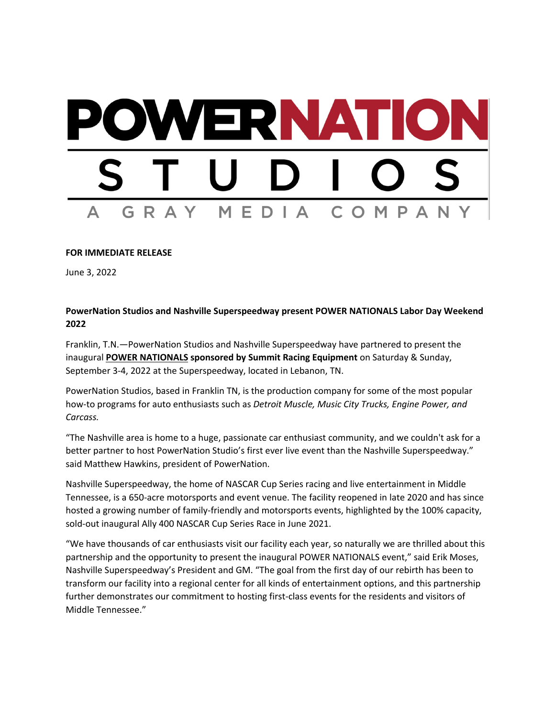## WERNATIO MEDIA COMPAN GRAY

## **FOR IMMEDIATE RELEASE**

June 3, 2022

## **PowerNation Studios and Nashville Superspeedway present POWER NATIONALS Labor Day Weekend 2022**

Franklin, T.N.—PowerNation Studios and Nashville Superspeedway have partnered to present the inaugural **POWER NATIONALS sponsored by Summit Racing Equipment** on Saturday & Sunday, September 3-4, 2022 at the Superspeedway, located in Lebanon, TN.

PowerNation Studios, based in Franklin TN, is the production company for some of the most popular how-to programs for auto enthusiasts such as *Detroit Muscle, Music City Trucks, Engine Power, and Carcass.*

"The Nashville area is home to a huge, passionate car enthusiast community, and we couldn't ask for a better partner to host PowerNation Studio's first ever live event than the Nashville Superspeedway." said Matthew Hawkins, president of PowerNation.

Nashville Superspeedway, the home of NASCAR Cup Series racing and live entertainment in Middle Tennessee, is a 650-acre motorsports and event venue. The facility reopened in late 2020 and has since hosted a growing number of family-friendly and motorsports events, highlighted by the 100% capacity, sold-out inaugural Ally 400 NASCAR Cup Series Race in June 2021.

"We have thousands of car enthusiasts visit our facility each year, so naturally we are thrilled about this partnership and the opportunity to present the inaugural POWER NATIONALS event," said Erik Moses, Nashville Superspeedway's President and GM. "The goal from the first day of our rebirth has been to transform our facility into a regional center for all kinds of entertainment options, and this partnership further demonstrates our commitment to hosting first-class events for the residents and visitors of Middle Tennessee."